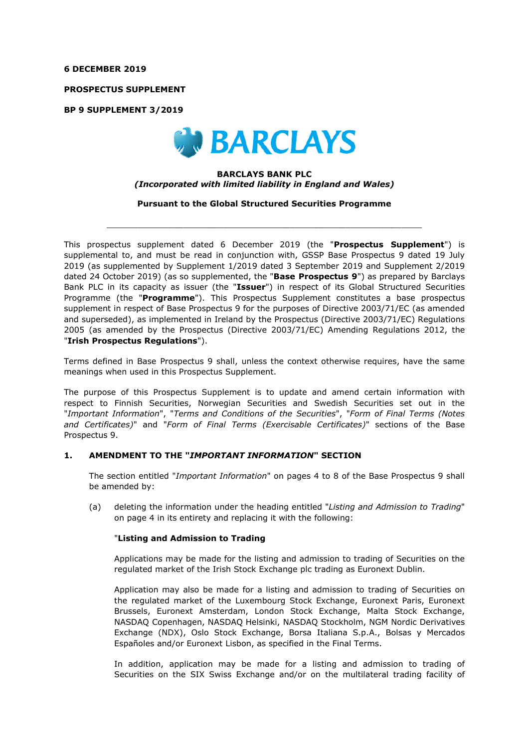#### **6 DECEMBER 2019**

**PROSPECTUS SUPPLEMENT** 

**BP 9 SUPPLEMENT 3/2019** 



## **BARCLAYS BANK PLC**  *(Incorporated with limited liability in England and Wales)*

**Pursuant to the Global Structured Securities Programme** 

 $\_$  , and the set of the set of the set of the set of the set of the set of the set of the set of the set of the set of the set of the set of the set of the set of the set of the set of the set of the set of the set of th

This prospectus supplement dated 6 December 2019 (the "**Prospectus Supplement**") is supplemental to, and must be read in conjunction with, GSSP Base Prospectus 9 dated 19 July 2019 (as supplemented by Supplement 1/2019 dated 3 September 2019 and Supplement 2/2019 dated 24 October 2019) (as so supplemented, the "**Base Prospectus 9**") as prepared by Barclays Bank PLC in its capacity as issuer (the "**Issuer**") in respect of its Global Structured Securities Programme (the "**Programme**"). This Prospectus Supplement constitutes a base prospectus supplement in respect of Base Prospectus 9 for the purposes of Directive 2003/71/EC (as amended and superseded), as implemented in Ireland by the Prospectus (Directive 2003/71/EC) Regulations 2005 (as amended by the Prospectus (Directive 2003/71/EC) Amending Regulations 2012, the "**Irish Prospectus Regulations**").

Terms defined in Base Prospectus 9 shall, unless the context otherwise requires, have the same meanings when used in this Prospectus Supplement.

The purpose of this Prospectus Supplement is to update and amend certain information with respect to Finnish Securities, Norwegian Securities and Swedish Securities set out in the "*Important Information*", "*Terms and Conditions of the Securities*", "*Form of Final Terms (Notes and Certificates)*" and "*Form of Final Terms (Exercisable Certificates)*" sections of the Base Prospectus 9.

### **1. AMENDMENT TO THE "***IMPORTANT INFORMATION***" SECTION**

The section entitled "*Important Information*" on pages 4 to 8 of the Base Prospectus 9 shall be amended by:

(a) deleting the information under the heading entitled "*Listing and Admission to Trading*" on page 4 in its entirety and replacing it with the following:

### "**Listing and Admission to Trading**

Applications may be made for the listing and admission to trading of Securities on the regulated market of the Irish Stock Exchange plc trading as Euronext Dublin.

Application may also be made for a listing and admission to trading of Securities on the regulated market of the Luxembourg Stock Exchange, Euronext Paris, Euronext Brussels, Euronext Amsterdam, London Stock Exchange, Malta Stock Exchange, NASDAQ Copenhagen, NASDAQ Helsinki, NASDAQ Stockholm, NGM Nordic Derivatives Exchange (NDX), Oslo Stock Exchange, Borsa Italiana S.p.A., Bolsas y Mercados Españoles and/or Euronext Lisbon, as specified in the Final Terms.

In addition, application may be made for a listing and admission to trading of Securities on the SIX Swiss Exchange and/or on the multilateral trading facility of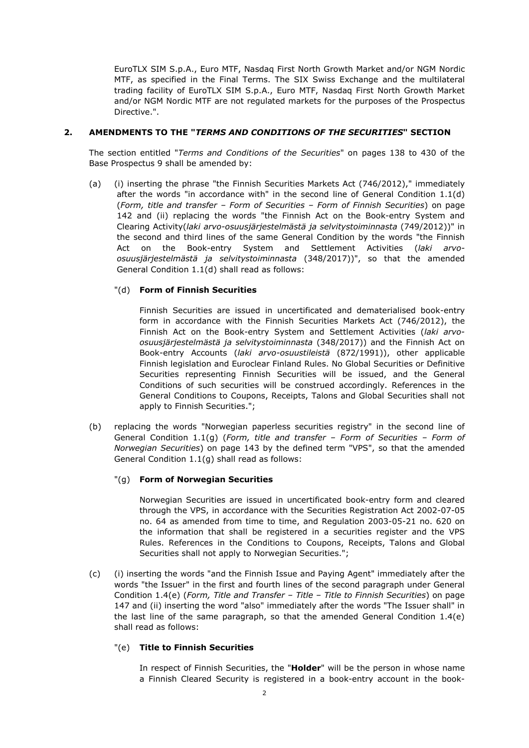EuroTLX SIM S.p.A., Euro MTF, Nasdaq First North Growth Market and/or NGM Nordic MTF, as specified in the Final Terms. The SIX Swiss Exchange and the multilateral trading facility of EuroTLX SIM S.p.A., Euro MTF, Nasdaq First North Growth Market and/or NGM Nordic MTF are not regulated markets for the purposes of the Prospectus Directive.".

## **2. AMENDMENTS TO THE "***TERMS AND CONDITIONS OF THE SECURITIES***" SECTION**

The section entitled "*Terms and Conditions of the Securities*" on pages 138 to 430 of the Base Prospectus 9 shall be amended by:

(a) (i) inserting the phrase "the Finnish Securities Markets Act (746/2012)," immediately after the words "in accordance with" in the second line of General Condition 1.1(d) (*Form, title and transfer – Form of Securities – Form of Finnish Securities*) on page 142 and (ii) replacing the words "the Finnish Act on the Book-entry System and Clearing Activity(*laki arvo-osuusjärjestelmästä ja selvitystoiminnasta* (749/2012))" in the second and third lines of the same General Condition by the words "the Finnish Act on the Book-entry System and Settlement Activities (*laki arvoosuusjärjestelmästä ja selvitystoiminnasta* (348/2017))", so that the amended General Condition 1.1(d) shall read as follows:

# "(d) **Form of Finnish Securities**

Finnish Securities are issued in uncertificated and dematerialised book-entry form in accordance with the Finnish Securities Markets Act (746/2012), the Finnish Act on the Book-entry System and Settlement Activities (*laki arvoosuusjärjestelmästä ja selvitystoiminnasta* (348/2017)) and the Finnish Act on Book-entry Accounts (*laki arvo-osuustileistä* (872/1991)), other applicable Finnish legislation and Euroclear Finland Rules. No Global Securities or Definitive Securities representing Finnish Securities will be issued, and the General Conditions of such securities will be construed accordingly. References in the General Conditions to Coupons, Receipts, Talons and Global Securities shall not apply to Finnish Securities.";

(b) replacing the words "Norwegian paperless securities registry" in the second line of General Condition 1.1(g) (*Form, title and transfer – Form of Securities – Form of Norwegian Securities*) on page 143 by the defined term "VPS", so that the amended General Condition 1.1(g) shall read as follows:

### "(g) **Form of Norwegian Securities**

Norwegian Securities are issued in uncertificated book-entry form and cleared through the VPS, in accordance with the Securities Registration Act 2002-07-05 no. 64 as amended from time to time, and Regulation 2003-05-21 no. 620 on the information that shall be registered in a securities register and the VPS Rules. References in the Conditions to Coupons, Receipts, Talons and Global Securities shall not apply to Norwegian Securities.";

(c) (i) inserting the words "and the Finnish Issue and Paying Agent" immediately after the words "the Issuer" in the first and fourth lines of the second paragraph under General Condition 1.4(e) (*Form, Title and Transfer – Title – Title to Finnish Securities*) on page 147 and (ii) inserting the word "also" immediately after the words "The Issuer shall" in the last line of the same paragraph, so that the amended General Condition 1.4(e) shall read as follows:

### "(e) **Title to Finnish Securities**

In respect of Finnish Securities, the "**Holder**" will be the person in whose name a Finnish Cleared Security is registered in a book-entry account in the book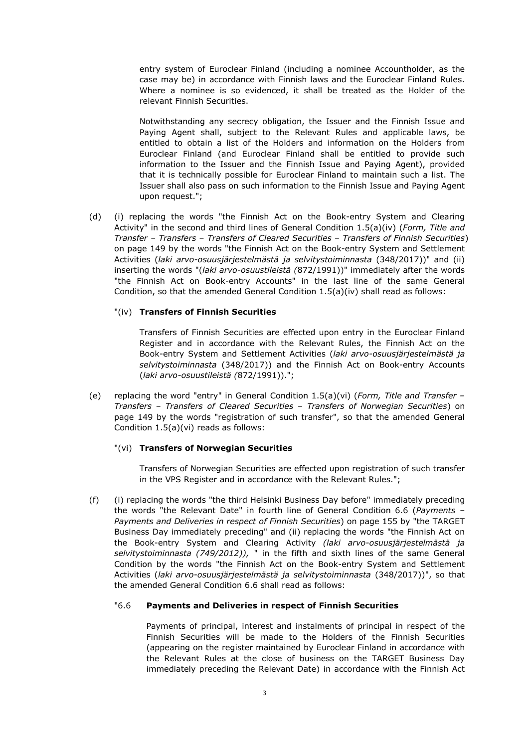entry system of Euroclear Finland (including a nominee Accountholder, as the case may be) in accordance with Finnish laws and the Euroclear Finland Rules. Where a nominee is so evidenced, it shall be treated as the Holder of the relevant Finnish Securities.

Notwithstanding any secrecy obligation, the Issuer and the Finnish Issue and Paying Agent shall, subject to the Relevant Rules and applicable laws, be entitled to obtain a list of the Holders and information on the Holders from Euroclear Finland (and Euroclear Finland shall be entitled to provide such information to the Issuer and the Finnish Issue and Paying Agent), provided that it is technically possible for Euroclear Finland to maintain such a list. The Issuer shall also pass on such information to the Finnish Issue and Paying Agent upon request.";

(d) (i) replacing the words "the Finnish Act on the Book-entry System and Clearing Activity" in the second and third lines of General Condition 1.5(a)(iv) (*Form, Title and Transfer – Transfers – Transfers of Cleared Securities – Transfers of Finnish Securities*) on page 149 by the words "the Finnish Act on the Book-entry System and Settlement Activities (*laki arvo-osuusjärjestelmästä ja selvitystoiminnasta* (348/2017))" and (ii) inserting the words "(*laki arvo-osuustileistä (*872/1991))" immediately after the words "the Finnish Act on Book-entry Accounts" in the last line of the same General Condition, so that the amended General Condition  $1.5(a)(iv)$  shall read as follows:

### "(iv) **Transfers of Finnish Securities**

Transfers of Finnish Securities are effected upon entry in the Euroclear Finland Register and in accordance with the Relevant Rules, the Finnish Act on the Book-entry System and Settlement Activities (*laki arvo-osuusjärjestelmästä ja selvitystoiminnasta* (348/2017)) and the Finnish Act on Book-entry Accounts (*laki arvo-osuustileistä (*872/1991)).";

(e) replacing the word "entry" in General Condition 1.5(a)(vi) (*Form, Title and Transfer – Transfers – Transfers of Cleared Securities – Transfers of Norwegian Securities*) on page 149 by the words "registration of such transfer", so that the amended General Condition 1.5(a)(vi) reads as follows:

#### "(vi) **Transfers of Norwegian Securities**

Transfers of Norwegian Securities are effected upon registration of such transfer in the VPS Register and in accordance with the Relevant Rules.";

(f) (i) replacing the words "the third Helsinki Business Day before" immediately preceding the words "the Relevant Date" in fourth line of General Condition 6.6 (*Payments – Payments and Deliveries in respect of Finnish Securities*) on page 155 by "the TARGET Business Day immediately preceding" and (ii) replacing the words "the Finnish Act on the Book-entry System and Clearing Activity *(laki arvo-osuusjärjestelmästä ja selvitystoiminnasta (749/2012)),* " in the fifth and sixth lines of the same General Condition by the words "the Finnish Act on the Book-entry System and Settlement Activities (*laki arvo-osuusjärjestelmästä ja selvitystoiminnasta* (348/2017))", so that the amended General Condition 6.6 shall read as follows:

### "6.6 **Payments and Deliveries in respect of Finnish Securities**

Payments of principal, interest and instalments of principal in respect of the Finnish Securities will be made to the Holders of the Finnish Securities (appearing on the register maintained by Euroclear Finland in accordance with the Relevant Rules at the close of business on the TARGET Business Day immediately preceding the Relevant Date) in accordance with the Finnish Act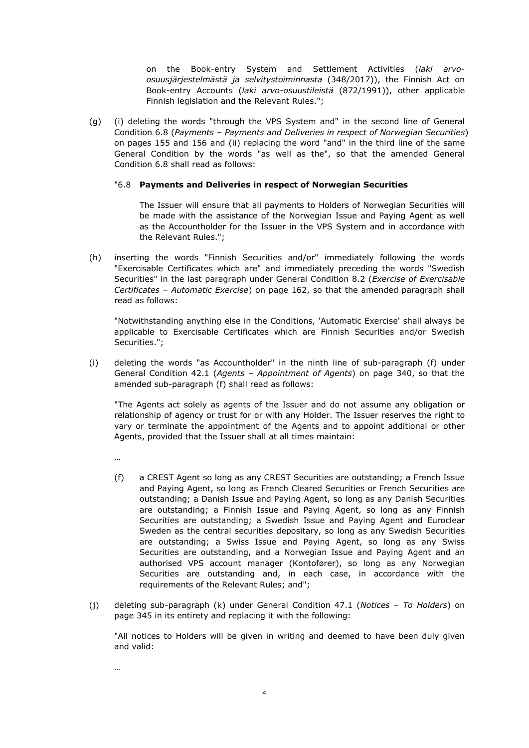on the Book-entry System and Settlement Activities (*laki arvoosuusjärjestelmästä ja selvitystoiminnasta* (348/2017)), the Finnish Act on Book-entry Accounts (*laki arvo-osuustileistä* (872/1991)), other applicable Finnish legislation and the Relevant Rules.";

(g) (i) deleting the words "through the VPS System and" in the second line of General Condition 6.8 (*Payments – Payments and Deliveries in respect of Norwegian Securities*) on pages 155 and 156 and (ii) replacing the word "and" in the third line of the same General Condition by the words "as well as the", so that the amended General Condition 6.8 shall read as follows:

#### "6.8 **Payments and Deliveries in respect of Norwegian Securities**

The Issuer will ensure that all payments to Holders of Norwegian Securities will be made with the assistance of the Norwegian Issue and Paying Agent as well as the Accountholder for the Issuer in the VPS System and in accordance with the Relevant Rules.";

(h) inserting the words "Finnish Securities and/or" immediately following the words "Exercisable Certificates which are" and immediately preceding the words "Swedish Securities" in the last paragraph under General Condition 8.2 (*Exercise of Exercisable Certificates – Automatic Exercise*) on page 162, so that the amended paragraph shall read as follows:

"Notwithstanding anything else in the Conditions, 'Automatic Exercise' shall always be applicable to Exercisable Certificates which are Finnish Securities and/or Swedish Securities.";

(i) deleting the words "as Accountholder" in the ninth line of sub-paragraph (f) under General Condition 42.1 (*Agents – Appointment of Agents*) on page 340, so that the amended sub-paragraph (f) shall read as follows:

"The Agents act solely as agents of the Issuer and do not assume any obligation or relationship of agency or trust for or with any Holder. The Issuer reserves the right to vary or terminate the appointment of the Agents and to appoint additional or other Agents, provided that the Issuer shall at all times maintain:

…

…

- (f) a CREST Agent so long as any CREST Securities are outstanding; a French Issue and Paying Agent, so long as French Cleared Securities or French Securities are outstanding; a Danish Issue and Paying Agent, so long as any Danish Securities are outstanding; a Finnish Issue and Paying Agent, so long as any Finnish Securities are outstanding; a Swedish Issue and Paying Agent and Euroclear Sweden as the central securities depositary, so long as any Swedish Securities are outstanding; a Swiss Issue and Paying Agent, so long as any Swiss Securities are outstanding, and a Norwegian Issue and Paying Agent and an authorised VPS account manager (Kontofører), so long as any Norwegian Securities are outstanding and, in each case, in accordance with the requirements of the Relevant Rules; and";
- (j) deleting sub-paragraph (k) under General Condition 47.1 (*Notices To Holders*) on page 345 in its entirety and replacing it with the following:

"All notices to Holders will be given in writing and deemed to have been duly given and valid: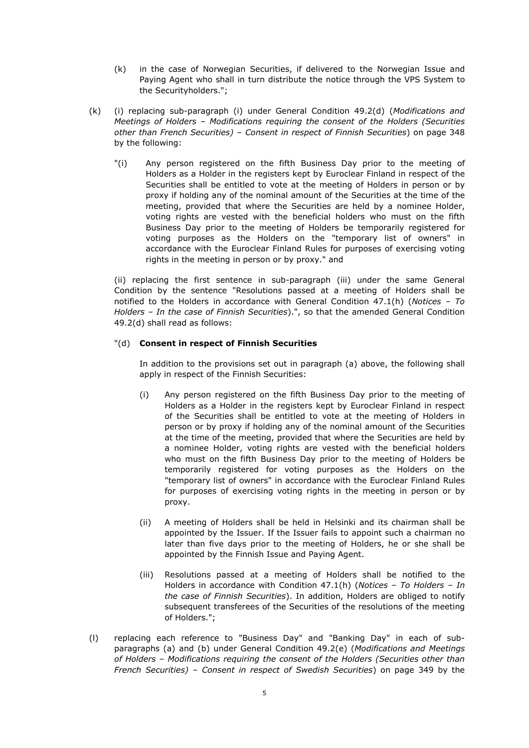- (k) in the case of Norwegian Securities, if delivered to the Norwegian Issue and Paying Agent who shall in turn distribute the notice through the VPS System to the Securityholders.";
- (k) (i) replacing sub-paragraph (i) under General Condition 49.2(d) (*Modifications and Meetings of Holders – Modifications requiring the consent of the Holders (Securities other than French Securities) – Consent in respect of Finnish Securities*) on page 348 by the following:
	- "(i) Any person registered on the fifth Business Day prior to the meeting of Holders as a Holder in the registers kept by Euroclear Finland in respect of the Securities shall be entitled to vote at the meeting of Holders in person or by proxy if holding any of the nominal amount of the Securities at the time of the meeting, provided that where the Securities are held by a nominee Holder, voting rights are vested with the beneficial holders who must on the fifth Business Day prior to the meeting of Holders be temporarily registered for voting purposes as the Holders on the "temporary list of owners" in accordance with the Euroclear Finland Rules for purposes of exercising voting rights in the meeting in person or by proxy." and

(ii) replacing the first sentence in sub-paragraph (iii) under the same General Condition by the sentence "Resolutions passed at a meeting of Holders shall be notified to the Holders in accordance with General Condition 47.1(h) (*Notices – To Holders – In the case of Finnish Securities*).", so that the amended General Condition 49.2(d) shall read as follows:

# "(d) **Consent in respect of Finnish Securities**

In addition to the provisions set out in paragraph (a) above, the following shall apply in respect of the Finnish Securities:

- (i) Any person registered on the fifth Business Day prior to the meeting of Holders as a Holder in the registers kept by Euroclear Finland in respect of the Securities shall be entitled to vote at the meeting of Holders in person or by proxy if holding any of the nominal amount of the Securities at the time of the meeting, provided that where the Securities are held by a nominee Holder, voting rights are vested with the beneficial holders who must on the fifth Business Day prior to the meeting of Holders be temporarily registered for voting purposes as the Holders on the "temporary list of owners" in accordance with the Euroclear Finland Rules for purposes of exercising voting rights in the meeting in person or by proxy.
- (ii) A meeting of Holders shall be held in Helsinki and its chairman shall be appointed by the Issuer. If the Issuer fails to appoint such a chairman no later than five days prior to the meeting of Holders, he or she shall be appointed by the Finnish Issue and Paying Agent.
- (iii) Resolutions passed at a meeting of Holders shall be notified to the Holders in accordance with Condition 47.1(h) (*Notices – To Holders – In the case of Finnish Securities*). In addition, Holders are obliged to notify subsequent transferees of the Securities of the resolutions of the meeting of Holders.";
- (l) replacing each reference to "Business Day" and "Banking Day" in each of subparagraphs (a) and (b) under General Condition 49.2(e) (*Modifications and Meetings of Holders – Modifications requiring the consent of the Holders (Securities other than French Securities) – Consent in respect of Swedish Securities*) on page 349 by the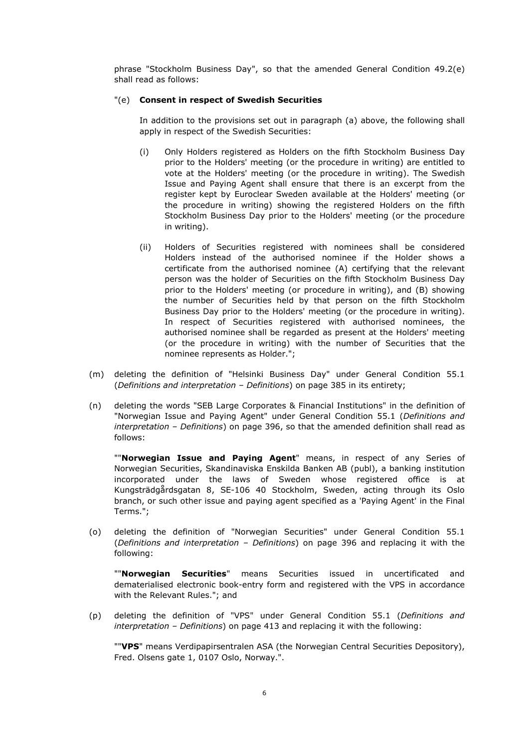phrase "Stockholm Business Day", so that the amended General Condition 49.2(e) shall read as follows:

#### "(e) **Consent in respect of Swedish Securities**

In addition to the provisions set out in paragraph (a) above, the following shall apply in respect of the Swedish Securities:

- (i) Only Holders registered as Holders on the fifth Stockholm Business Day prior to the Holders' meeting (or the procedure in writing) are entitled to vote at the Holders' meeting (or the procedure in writing). The Swedish Issue and Paying Agent shall ensure that there is an excerpt from the register kept by Euroclear Sweden available at the Holders' meeting (or the procedure in writing) showing the registered Holders on the fifth Stockholm Business Day prior to the Holders' meeting (or the procedure in writing).
- (ii) Holders of Securities registered with nominees shall be considered Holders instead of the authorised nominee if the Holder shows a certificate from the authorised nominee (A) certifying that the relevant person was the holder of Securities on the fifth Stockholm Business Day prior to the Holders' meeting (or procedure in writing), and (B) showing the number of Securities held by that person on the fifth Stockholm Business Day prior to the Holders' meeting (or the procedure in writing). In respect of Securities registered with authorised nominees, the authorised nominee shall be regarded as present at the Holders' meeting (or the procedure in writing) with the number of Securities that the nominee represents as Holder.";
- (m) deleting the definition of "Helsinki Business Day" under General Condition 55.1 (*Definitions and interpretation – Definitions*) on page 385 in its entirety;
- (n) deleting the words "SEB Large Corporates & Financial Institutions" in the definition of "Norwegian Issue and Paying Agent" under General Condition 55.1 (*Definitions and interpretation – Definitions*) on page 396, so that the amended definition shall read as follows:

""**Norwegian Issue and Paying Agent**" means, in respect of any Series of Norwegian Securities, Skandinaviska Enskilda Banken AB (publ), a banking institution incorporated under the laws of Sweden whose registered office is at Kungsträdgårdsgatan 8, SE-106 40 Stockholm, Sweden, acting through its Oslo branch, or such other issue and paying agent specified as a 'Paying Agent' in the Final Terms.";

(o) deleting the definition of "Norwegian Securities" under General Condition 55.1 (*Definitions and interpretation – Definitions*) on page 396 and replacing it with the following:

""**Norwegian Securities**" means Securities issued in uncertificated and dematerialised electronic book-entry form and registered with the VPS in accordance with the Relevant Rules."; and

(p) deleting the definition of "VPS" under General Condition 55.1 (*Definitions and interpretation – Definitions*) on page 413 and replacing it with the following:

""**VPS**" means Verdipapirsentralen ASA (the Norwegian Central Securities Depository), Fred. Olsens gate 1, 0107 Oslo, Norway.".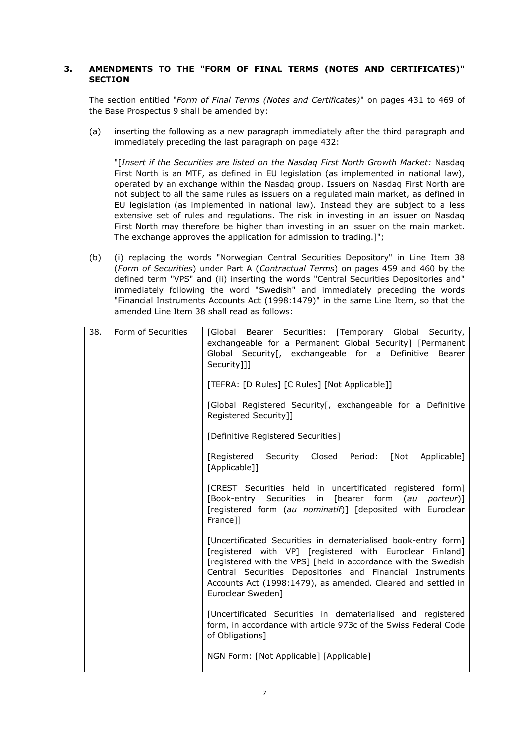# **3. AMENDMENTS TO THE "FORM OF FINAL TERMS (NOTES AND CERTIFICATES)" SECTION**

The section entitled "*Form of Final Terms (Notes and Certificates)*" on pages 431 to 469 of the Base Prospectus 9 shall be amended by:

(a) inserting the following as a new paragraph immediately after the third paragraph and immediately preceding the last paragraph on page 432:

"[*Insert if the Securities are listed on the Nasdaq First North Growth Market:* Nasdaq First North is an MTF, as defined in EU legislation (as implemented in national law), operated by an exchange within the Nasdaq group. Issuers on Nasdaq First North are not subject to all the same rules as issuers on a regulated main market, as defined in EU legislation (as implemented in national law). Instead they are subject to a less extensive set of rules and regulations. The risk in investing in an issuer on Nasdaq First North may therefore be higher than investing in an issuer on the main market. The exchange approves the application for admission to trading.]";

(b) (i) replacing the words "Norwegian Central Securities Depository" in Line Item 38 (*Form of Securities*) under Part A (*Contractual Terms*) on pages 459 and 460 by the defined term "VPS" and (ii) inserting the words "Central Securities Depositories and" immediately following the word "Swedish" and immediately preceding the words "Financial Instruments Accounts Act (1998:1479)" in the same Line Item, so that the amended Line Item 38 shall read as follows:

| 38. | Form of Securities | [Global Bearer Securities: [Temporary Global Security,<br>exchangeable for a Permanent Global Security] [Permanent<br>Global Security <sup>[</sup> , exchangeable for a Definitive<br>Bearer<br>Security]]]<br>[TEFRA: [D Rules] [C Rules] [Not Applicable]]                                                                                  |
|-----|--------------------|-----------------------------------------------------------------------------------------------------------------------------------------------------------------------------------------------------------------------------------------------------------------------------------------------------------------------------------------------|
|     |                    | [Global Registered Security[, exchangeable for a Definitive<br>Registered Security]]                                                                                                                                                                                                                                                          |
|     |                    | [Definitive Registered Securities]                                                                                                                                                                                                                                                                                                            |
|     |                    | [Registered Security<br>Closed Period:<br>[Not Applicable]<br>[Applicable]]                                                                                                                                                                                                                                                                   |
|     |                    | [CREST Securities held in uncertificated registered form]<br>[Book-entry Securities<br>in [bearer form (au porteur)]<br>[registered form (au nominatif)] [deposited with Euroclear<br>France]]                                                                                                                                                |
|     |                    | [Uncertificated Securities in dematerialised book-entry form]<br>[registered with VP] [registered with Euroclear Finland]<br>[registered with the VPS] [held in accordance with the Swedish<br>Central Securities Depositories and Financial Instruments<br>Accounts Act (1998:1479), as amended. Cleared and settled in<br>Euroclear Sweden] |
|     |                    | [Uncertificated Securities in dematerialised and registered<br>form, in accordance with article 973c of the Swiss Federal Code<br>of Obligations]                                                                                                                                                                                             |
|     |                    | NGN Form: [Not Applicable] [Applicable]                                                                                                                                                                                                                                                                                                       |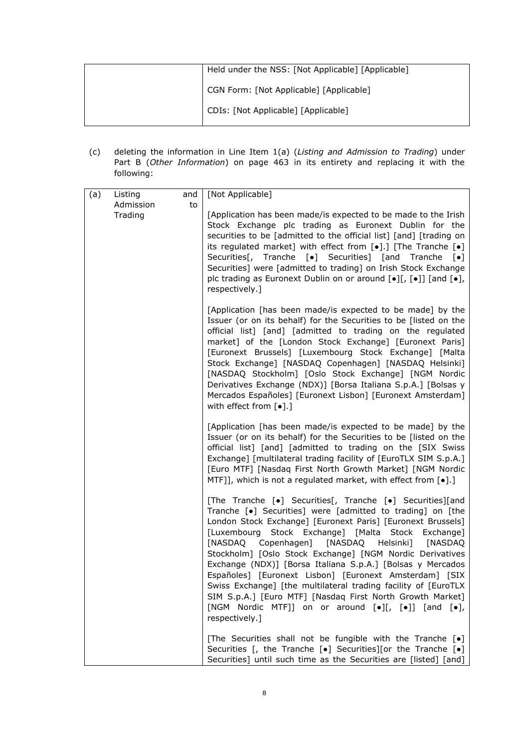| Held under the NSS: [Not Applicable] [Applicable] |
|---------------------------------------------------|
| CGN Form: [Not Applicable] [Applicable]           |
| CDIs: [Not Applicable] [Applicable]               |

(c) deleting the information in Line Item 1(a) (*Listing and Admission to Trading*) under Part B (*Other Information*) on page 463 in its entirety and replacing it with the following:

| (a) | Listing              | and | [Not Applicable]                                                                                                                                                                                                                                                                                                                                                                                                                                                                                                                                                                                                                                                                             |
|-----|----------------------|-----|----------------------------------------------------------------------------------------------------------------------------------------------------------------------------------------------------------------------------------------------------------------------------------------------------------------------------------------------------------------------------------------------------------------------------------------------------------------------------------------------------------------------------------------------------------------------------------------------------------------------------------------------------------------------------------------------|
|     | Admission<br>Trading | to  | [Application has been made/is expected to be made to the Irish<br>Stock Exchange plc trading as Euronext Dublin for the<br>securities to be [admitted to the official list] [and] [trading on<br>its regulated market] with effect from $\lbrack \bullet \rbrack$ .] [The Tranche $\lbrack \bullet \rbrack$<br>Securities[, Tranche [•] Securities] [and Tranche [•]<br>Securities] were [admitted to trading] on Irish Stock Exchange<br>plc trading as Euronext Dublin on or around [•][, [•]] [and [•],<br>respectively.]                                                                                                                                                                 |
|     |                      |     | [Application [has been made/is expected to be made] by the<br>Issuer (or on its behalf) for the Securities to be [listed on the<br>official list] [and] [admitted to trading on the regulated<br>market] of the [London Stock Exchange] [Euronext Paris]<br>[Euronext Brussels] [Luxembourg Stock Exchange] [Malta<br>Stock Exchange] [NASDAQ Copenhagen] [NASDAQ Helsinki]<br>[NASDAQ Stockholm] [Oslo Stock Exchange] [NGM Nordic<br>Derivatives Exchange (NDX)] [Borsa Italiana S.p.A.] [Bolsas y<br>Mercados Españoles] [Euronext Lisbon] [Euronext Amsterdam]<br>with effect from $[\bullet]$ .]                                                                                        |
|     |                      |     | [Application [has been made/is expected to be made] by the<br>Issuer (or on its behalf) for the Securities to be [listed on the<br>official list] [and] [admitted to trading on the [SIX Swiss<br>Exchange] [multilateral trading facility of [EuroTLX SIM S.p.A.]<br>[Euro MTF] [Nasdaq First North Growth Market] [NGM Nordic<br>MTF]], which is not a regulated market, with effect from [.].]                                                                                                                                                                                                                                                                                            |
|     |                      |     | [The Tranche [•] Securities[, Tranche [•] Securities][and<br>Tranche [•] Securities] were [admitted to trading] on [the<br>London Stock Exchange] [Euronext Paris] [Euronext Brussels]<br>[Luxembourg Stock Exchange] [Malta Stock Exchange]<br>[NASDAQ Copenhagen] [NASDAQ Helsinki]<br>[NASDAQ<br>Stockholm] [Oslo Stock Exchange] [NGM Nordic Derivatives<br>Exchange (NDX)] [Borsa Italiana S.p.A.] [Bolsas y Mercados<br>Españoles] [Euronext Lisbon] [Euronext Amsterdam] [SIX<br>Swiss Exchange] [the multilateral trading facility of [EuroTLX<br>SIM S.p.A.] [Euro MTF] [Nasdaq First North Growth Market]<br>[NGM Nordic MTF]] on or around [.][, [.]] [and [.],<br>respectively.] |
|     |                      |     | [The Securities shall not be fungible with the Tranche [.]<br>Securities [, the Tranche $[\bullet]$ Securities][or the Tranche $[\bullet]$<br>Securities] until such time as the Securities are [listed] [and]                                                                                                                                                                                                                                                                                                                                                                                                                                                                               |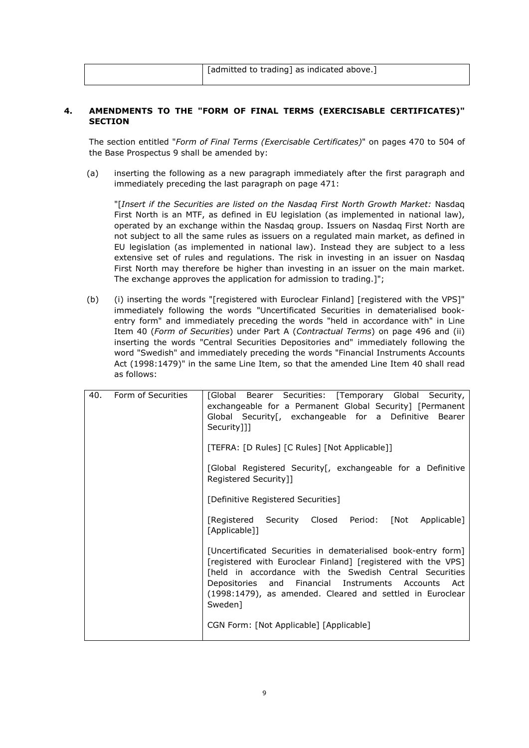[admitted to trading] as indicated above.]

### **4. AMENDMENTS TO THE "FORM OF FINAL TERMS (EXERCISABLE CERTIFICATES)" SECTION**

The section entitled "*Form of Final Terms (Exercisable Certificates)*" on pages 470 to 504 of the Base Prospectus 9 shall be amended by:

(a) inserting the following as a new paragraph immediately after the first paragraph and immediately preceding the last paragraph on page 471:

"[*Insert if the Securities are listed on the Nasdaq First North Growth Market:* Nasdaq First North is an MTF, as defined in EU legislation (as implemented in national law), operated by an exchange within the Nasdaq group. Issuers on Nasdaq First North are not subject to all the same rules as issuers on a regulated main market, as defined in EU legislation (as implemented in national law). Instead they are subject to a less extensive set of rules and regulations. The risk in investing in an issuer on Nasdaq First North may therefore be higher than investing in an issuer on the main market. The exchange approves the application for admission to trading.<sup>1"</sup>;

(b) (i) inserting the words "[registered with Euroclear Finland] [registered with the VPS]" immediately following the words "Uncertificated Securities in dematerialised bookentry form" and immediately preceding the words "held in accordance with" in Line Item 40 (*Form of Securities*) under Part A (*Contractual Terms*) on page 496 and (ii) inserting the words "Central Securities Depositories and" immediately following the word "Swedish" and immediately preceding the words "Financial Instruments Accounts Act (1998:1479)" in the same Line Item, so that the amended Line Item 40 shall read as follows:

| 40. | Form of Securities | [Global Bearer Securities: [Temporary Global Security,<br>exchangeable for a Permanent Global Security [Permanent<br>Global Security [, exchangeable for a Definitive Bearer<br>Security]]]                                                                                                                              |
|-----|--------------------|--------------------------------------------------------------------------------------------------------------------------------------------------------------------------------------------------------------------------------------------------------------------------------------------------------------------------|
|     |                    | [TEFRA: [D Rules] [C Rules] [Not Applicable]]                                                                                                                                                                                                                                                                            |
|     |                    | [Global Registered Security [, exchangeable for a Definitive<br>Registered Security]]                                                                                                                                                                                                                                    |
|     |                    | [Definitive Registered Securities]                                                                                                                                                                                                                                                                                       |
|     |                    | [Registered Security Closed Period: [Not Applicable]<br>[Applicable]]                                                                                                                                                                                                                                                    |
|     |                    | [Uncertificated Securities in dematerialised book-entry form]<br>[registered with Euroclear Finland] [registered with the VPS]<br>[held in accordance with the Swedish Central Securities<br>Depositories and Financial Instruments Accounts Act<br>(1998:1479), as amended. Cleared and settled in Euroclear<br>Sweden] |
|     |                    | CGN Form: [Not Applicable] [Applicable]                                                                                                                                                                                                                                                                                  |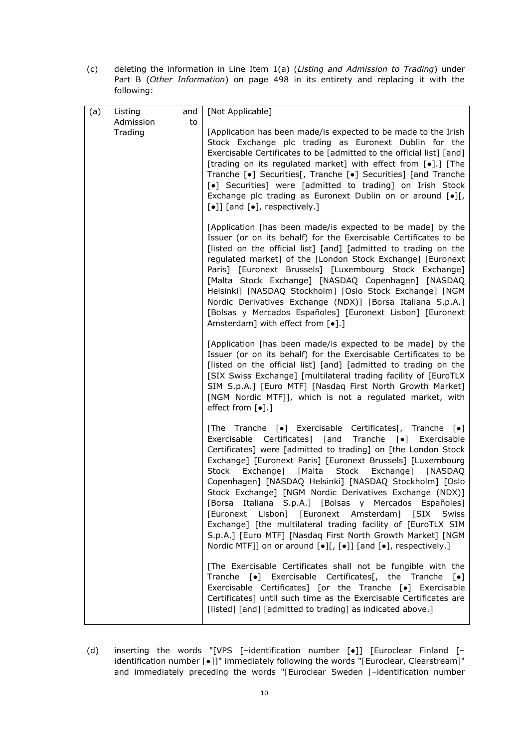(c) deleting the information in Line Item 1(a) (*Listing and Admission to Trading*) under Part B (*Other Information*) on page 498 in its entirety and replacing it with the following:

| (a) | Listing              | and | [Not Applicable]                                                                                                                                                                                                                                                                                                                                                                                                                                                                                                                                                                                                                                                                                                                                                                                       |
|-----|----------------------|-----|--------------------------------------------------------------------------------------------------------------------------------------------------------------------------------------------------------------------------------------------------------------------------------------------------------------------------------------------------------------------------------------------------------------------------------------------------------------------------------------------------------------------------------------------------------------------------------------------------------------------------------------------------------------------------------------------------------------------------------------------------------------------------------------------------------|
|     | Admission<br>Trading | to  | [Application has been made/is expected to be made to the Irish<br>Stock Exchange plc trading as Euronext Dublin for the<br>Exercisable Certificates to be [admitted to the official list] [and]<br>[trading on its regulated market] with effect from [.].] [The<br>Tranche [•] Securities[, Tranche [•] Securities] [and Tranche<br>[•] Securities] were [admitted to trading] on Irish Stock<br>Exchange plc trading as Euronext Dublin on or around $\lceil \bullet \rceil$ ,<br>$\lbrack \bullet \rbrack$ ] [and $\lbrack \bullet \rbrack$ , respectively.]                                                                                                                                                                                                                                        |
|     |                      |     | [Application [has been made/is expected to be made] by the<br>Issuer (or on its behalf) for the Exercisable Certificates to be<br>[listed on the official list] [and] [admitted to trading on the<br>regulated market] of the [London Stock Exchange] [Euronext<br>Paris] [Euronext Brussels] [Luxembourg Stock Exchange]<br>[Malta Stock Exchange] [NASDAQ Copenhagen] [NASDAQ<br>Helsinki] [NASDAQ Stockholm] [Oslo Stock Exchange] [NGM<br>Nordic Derivatives Exchange (NDX)] [Borsa Italiana S.p.A.]<br>[Bolsas y Mercados Españoles] [Euronext Lisbon] [Euronext<br>Amsterdam] with effect from [ $\bullet$ ].]                                                                                                                                                                                   |
|     |                      |     | [Application [has been made/is expected to be made] by the<br>Issuer (or on its behalf) for the Exercisable Certificates to be<br>[listed on the official list] [and] [admitted to trading on the<br>[SIX Swiss Exchange] [multilateral trading facility of [EuroTLX<br>SIM S.p.A.] [Euro MTF] [Nasdaq First North Growth Market]<br>[NGM Nordic MTF]], which is not a regulated market, with<br>effect from [ $\bullet$ ].]                                                                                                                                                                                                                                                                                                                                                                           |
|     |                      |     | [The Tranche [•] Exercisable Certificates[, Tranche [•]<br>Exercisable Certificates] [and Tranche [•] Exercisable<br>Certificates] were [admitted to trading] on [the London Stock<br>Exchange] [Euronext Paris] [Euronext Brussels] [Luxembourg<br>Stock Exchange] [Malta Stock Exchange] [NASDAQ<br>Copenhagen] [NASDAQ Helsinki] [NASDAQ Stockholm] [Oslo<br>Stock Exchange] [NGM Nordic Derivatives Exchange (NDX)]<br>[Borsa Italiana S.p.A.] [Bolsas y Mercados Españoles]<br>[Euronext Lisbon] [Euronext Amsterdam] [SIX<br>Swiss<br>Exchange] [the multilateral trading facility of [EuroTLX SIM<br>S.p.A.] [Euro MTF] [Nasdaq First North Growth Market] [NGM<br>Nordic MTF]] on or around $\lceil \bullet \rceil$ [, $\lceil \bullet \rceil$ ] [and $\lceil \bullet \rceil$ , respectively.] |
|     |                      |     | [The Exercisable Certificates shall not be fungible with the<br>Tranche [•] Exercisable Certificates[, the Tranche [•]<br>Exercisable Certificates] [or the Tranche [•] Exercisable<br>Certificates] until such time as the Exercisable Certificates are<br>[listed] [and] [admitted to trading] as indicated above.]                                                                                                                                                                                                                                                                                                                                                                                                                                                                                  |

(d) inserting the words "[VPS [–identification number [●]] [Euroclear Finland [– identification number [●]]" immediately following the words "[Euroclear, Clearstream]" and immediately preceding the words "[Euroclear Sweden [–identification number